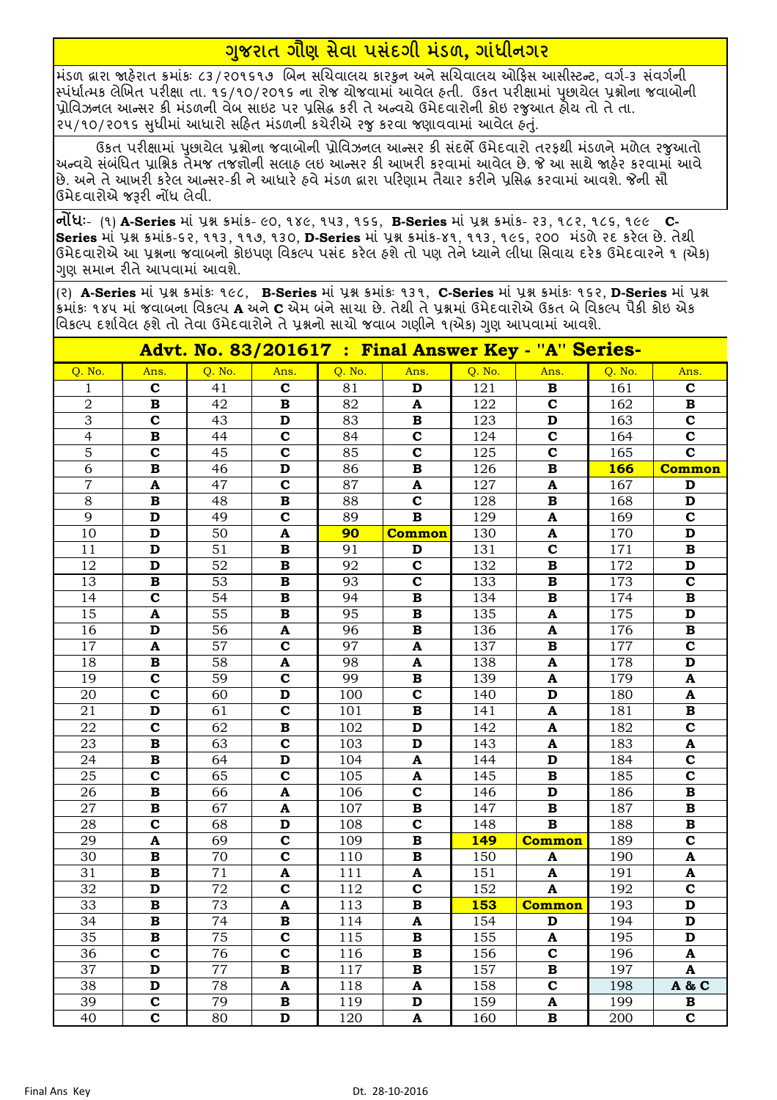## <u>ગુજરાત ગૌણ સેવા પસંદગી મંડળ, ગાંધીનગર</u>

મંડળ દ્વારા જાહેરાત ક્રમાંકઃ ૮૩/૨૦૧૬૧૭ બિન સચિવાલય કારકુન અને સચિવાલય ઓફિસ આસીસ્ટન્ટ, વર્ગ-૩ સંવર્ગની સ્પંર્ધાત્મક લેખિત પરીક્ષા તા. ૧૬/૧૦/૨૦૧૬ ના રોજ ચોજવામાં આવેલ હતી. ઉકત પરીક્ષામાં પુછાચેલ પ્રશ્નોના જવાબોની પ્રોવિઝનલ આન્સર કી મંડળની વેબ સાઇટ પર પ્રસિદ્ધ કરી તે અન્વચે ઉમેદવારોની કોઇ રજુઆત હોય તો તે તા. ૨૫/૧૦/૨૦૧૬ સુધીમાં આધારો સહિત મંડળની કચેરીએ રજુ કરવા જણાવવામાં આવેલ હતું.

ઉકત પરીક્ષામાં પુછાચેલ પ્રશ્નોના જવાબોની પ્રોવિઝનલ આન્સર કી સંદર્ભે ઉમેદવારો તરફથી મંડળને મળેલ રજુઆતો અન્વચે સંબંધિત પ્રાશ્નિક તેમજ તજજ્ઞોની સલાહ લઇ આન્સર કી આખરી કરવામાં આવેલ છે. જે આ સાથે જાહેર કરવામાં આવે છે. અને તે આખરી કરેલ આન્સર-કી ને આધારે હવે મંડળ દ્રારા પરિણામ તૈયાર કરીને પ્રસિદ્ધ કરવામાં આવશે. જેની સૌ ઉમેદવારોએ જરૂરી નોંધ લેવી.

**નોંધઃ**- (૧) **A-Series** માં પ્રશ્ન ક્રમાંક- ૯૦, ૧૪૯, ૧૫૩, ૧૬૬, B-Series માં પ્રશ્ન ક્રમાંક- ૨૩, ૧૮૨, ૧૮૬, ૧૯૯ C-Series માં પ્રશ્ન ક્રમાંક-૬૨, ૧૧૩, ૧૧૭, ૧૩૦, D-Series માં પ્રશ્ન ક્રમાંક-૪૧, ૧૧૩, ૧૯૬, ૨૦૦ મંડળે ૨દ કરેલ છે. તેથી ઉમેદવારોએ આ પ્રશ્નના જવાબનો કોઇપણ વિકલ્પ પસંદ કરેલ હશે તો પણ તેને ધ્યાને લીધા સિવાય દરેક ઉમેદવારને ૧ (એક) ગણ સમાન રીતે આપવામાં આવશે.

(2) A-Series Hi પ્રશ્ન કમાંકઃ ૧૯૮, B-Series Hi પ્રશ્ન કમાંક: ૧૩૧, C-Series Hi પ્રશ્ન કમાંક: ૧૬૨, D-Series Hi પ્રશ્ન ક્રમાંકઃ ૧૪૫ માં જવાબના વિકલ્પ **A** અને **C** એમ બંને સાચા છે. તેથી તે પ્રશ્નમાં ઉમેદવારોએ ઉકત બે વિકલ્પ પૈકી કોઇ એક વિકલ્પ દર્શાવેલ હશે તો તેવા ઉમેદવારોને તે પ્રશ્નનો સાચો જવાબ ગણીને ૧(એક) ગુણ આપવામાં આવશે.

| Advt. No. 83/201617 : Final Answer Key - "A" Series- |              |        |              |        |               |            |               |            |               |
|------------------------------------------------------|--------------|--------|--------------|--------|---------------|------------|---------------|------------|---------------|
| Q. No.                                               | Ans.         | Q. No. | Ans.         | Q. No. | Ans.          | Q. No.     | Ans.          | Q. No.     | Ans.          |
| 1                                                    | $\mathbf C$  | 41     | $\mathbf c$  | 81     | D             | 121        | B             | 161        | $\mathbf c$   |
| $\overline{2}$                                       | $\, {\bf B}$ | 42     | $\mathbf B$  | 82     | $\mathbf{A}$  | 122        | $\mathbf C$   | 162        | $\bf{B}$      |
| 3                                                    | $\mathbf C$  | 43     | D            | 83     | $\bf{B}$      | 123        | D             | 163        | $\mathbf C$   |
| $\overline{4}$                                       | $\mathbf B$  | 44     | $\mathbf C$  | 84     | $\mathbf C$   | 124        | $\mathbf C$   | 164        | $\mathbf C$   |
| 5                                                    | $\mathbf C$  | 45     | $\mathbf C$  | 85     | $\mathbf C$   | 125        | $\mathbf C$   | 165        | $\mathbf C$   |
| 6                                                    | $\mathbf B$  | 46     | $\mathbf D$  | 86     | $\bf{B}$      | 126        | $\bf{B}$      | <b>166</b> | <b>Common</b> |
| $\overline{7}$                                       | $\mathbf{A}$ | 47     | $\mathbf C$  | 87     | $\mathbf{A}$  | 127        | $\mathbf{A}$  | 167        | D             |
| 8                                                    | $\mathbf B$  | 48     | $\mathbf B$  | 88     | $\mathbf C$   | 128        | $\mathbf B$   | 168        | D             |
| 9                                                    | D            | 49     | $\mathbf C$  | 89     | $\mathbf B$   | 129        | $\mathbf{A}$  | 169        | $\mathbf C$   |
| 10                                                   | D            | 50     | $\mathbf{A}$ | 90     | <b>Common</b> | 130        | $\mathbf{A}$  | 170        | D             |
| 11                                                   | D            | 51     | $\bf{B}$     | 91     | D             | 131        | $\mathbf C$   | 171        | $\bf{B}$      |
| 12                                                   | D            | 52     | $\mathbf B$  | 92     | $\mathbf C$   | 132        | $\mathbf{B}$  | 172        | D             |
| 13                                                   | $\mathbf B$  | 53     | $\, {\bf B}$ | 93     | $\mathbf C$   | 133        | $\mathbf B$   | 173        | $\mathbf C$   |
| 14                                                   | $\mathbf C$  | 54     | $\, {\bf B}$ | 94     | $\bf{B}$      | 134        | $\mathbf B$   | 174        | $\, {\bf B}$  |
| 15                                                   | $\mathbf{A}$ | 55     | $\, {\bf B}$ | 95     | $\, {\bf B}$  | 135        | $\mathbf A$   | 175        | $\mathbf D$   |
| 16                                                   | $\mathbf D$  | 56     | $\mathbf{A}$ | 96     | $\, {\bf B}$  | 136        | $\mathbf{A}$  | 176        | $\mathbf B$   |
| 17                                                   | $\mathbf{A}$ | 57     | $\mathbf C$  | 97     | $\mathbf{A}$  | 137        | $\mathbf B$   | 177        | $\mathbf C$   |
| 18                                                   | $\mathbf B$  | 58     | $\mathbf{A}$ | 98     | A             | 138        | A             | 178        | D             |
| 19                                                   | $\mathbf C$  | 59     | $\mathbf C$  | 99     | $\bf{B}$      | 139        | A             | 179        | $\mathbf{A}$  |
| 20                                                   | $\mathbf C$  | 60     | D            | 100    | $\mathbf C$   | 140        | D             | 180        | $\mathbf{A}$  |
| 21                                                   | $\mathbf D$  | 61     | $\mathbf C$  | 101    | $\bf{B}$      | 141        | A             | 181        | $\bf{B}$      |
| 22                                                   | $\mathbf C$  | 62     | $\bf{B}$     | 102    | D             | 142        | A             | 182        | $\mathbf C$   |
| 23                                                   | $\mathbf B$  | 63     | $\mathbf C$  | 103    | D             | 143        | A             | 183        | $\mathbf{A}$  |
| 24                                                   | $\mathbf B$  | 64     | D            | 104    | A             | 144        | D             | 184        | $\mathbf C$   |
| 25                                                   | $\mathbf C$  | 65     | $\mathbf C$  | 105    | A             | 145        | $\bf{B}$      | 185        | $\mathbf C$   |
| 26                                                   | $\bf{B}$     | 66     | A            | 106    | $\mathbf c$   | 146        | D             | 186        | B             |
| 27                                                   | $\, {\bf B}$ | 67     | A            | 107    | $\, {\bf B}$  | 147        | $\bf{B}$      | 187        | $\, {\bf B}$  |
| 28                                                   | $\mathbf C$  | 68     | D            | 108    | $\mathbf C$   | 148        | $\mathbf{B}$  | 188        | $\mathbf{B}$  |
| 29                                                   | A            | 69     | $\mathbf C$  | 109    | B             | <b>149</b> | <b>Common</b> | 189        | $\mathbf C$   |
| 30                                                   | $\bf{B}$     | 70     | $\mathbf C$  | 110    | B             | 150        | $\mathbf{A}$  | 190        | $\mathbf{A}$  |
| 31                                                   | $\mathbf B$  | 71     | ${\bf A}$    | 111    | $\mathbf{A}$  | 151        | $\mathbf{A}$  | 191        | ${\bf A}$     |
| 32                                                   | D            | 72     | $\mathbf{C}$ | 112    | $\mathbf C$   | 152        | $\mathbf{A}$  | 192        | $\mathbf C$   |
| 33                                                   | $\bf{B}$     | 73     | A            | 113    | $\bf{B}$      | <b>153</b> | <b>Common</b> | 193        | D             |
| 34                                                   | $\, {\bf B}$ | 74     | $\mathbf B$  | 114    | A             | 154        | D             | 194        | D             |
| 35                                                   | $\bf{B}$     | 75     | $\mathbf C$  | 115    | B             | 155        | $\mathbf{A}$  | 195        | D             |
| 36                                                   | $\mathbf C$  | 76     | $\mathbf C$  | 116    | $\bf{B}$      | 156        | $\mathbf C$   | 196        | ${\bf A}$     |
| 37                                                   | $\mathbf D$  | 77     | $\mathbf B$  | 117    | B             | 157        | $\bf{B}$      | 197        | ${\bf A}$     |
| 38                                                   | D            | 78     | A            | 118    | A             | 158        | $\mathbf C$   | 198        | A & C         |
| 39                                                   | $\mathbf c$  | 79     | $\bf{B}$     | 119    | D             | 159        | A             | 199        | $\bf{B}$      |
| 40                                                   | $\mathbf c$  | 80     | D            | 120    | A             | 160        | B             | 200        | $\mathbf{C}$  |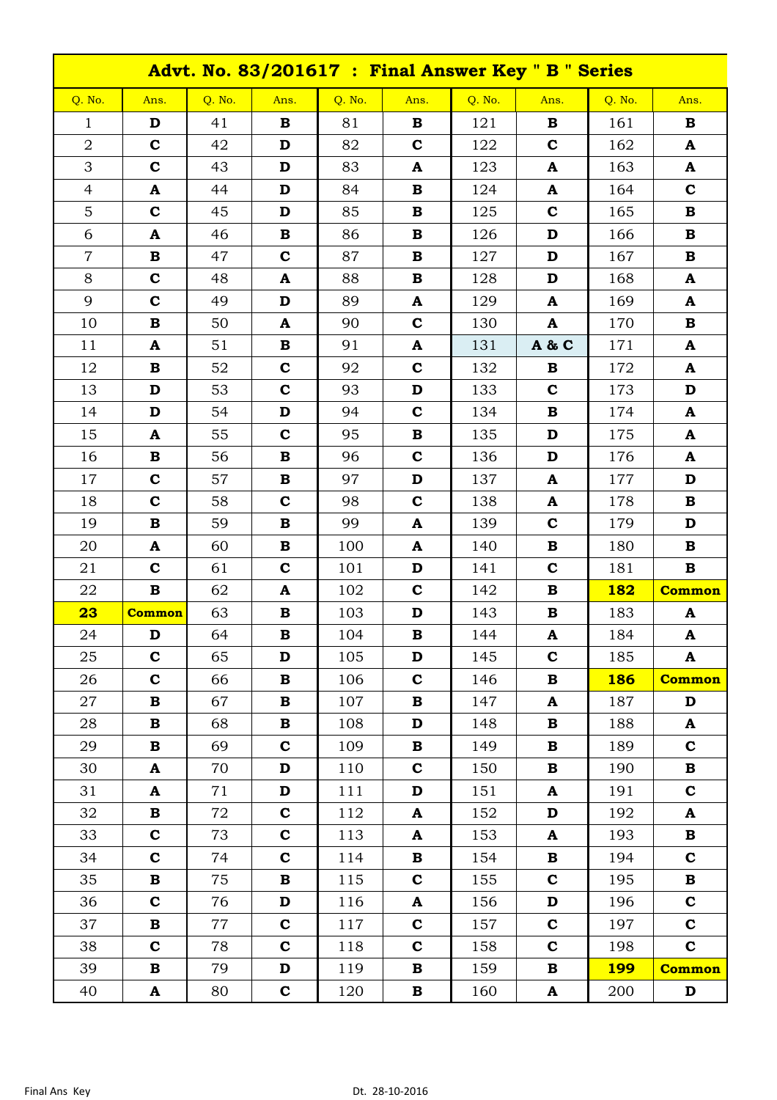| Advt. No. 83/201617 : Final Answer Key " B " Series |               |        |              |        |              |        |              |            |               |
|-----------------------------------------------------|---------------|--------|--------------|--------|--------------|--------|--------------|------------|---------------|
| Q. No.                                              | Ans.          | Q. No. | Ans.         | Q. No. | Ans.         | Q. No. | Ans.         | Q. No.     | Ans.          |
| $\mathbf{1}$                                        | D             | 41     | $\bf{B}$     | 81     | $\bf{B}$     | 121    | $\bf{B}$     | 161        | B             |
| $\overline{2}$                                      | $\mathbf C$   | 42     | D            | 82     | $\mathbf C$  | 122    | $\mathbf C$  | 162        | $\mathbf{A}$  |
| 3                                                   | $\mathbf C$   | 43     | D            | 83     | $\mathbf{A}$ | 123    | ${\bf A}$    | 163        | ${\bf A}$     |
| $\overline{4}$                                      | $\mathbf{A}$  | 44     | D            | 84     | B            | 124    | A            | 164        | $\mathbf C$   |
| 5                                                   | $\mathbf C$   | 45     | D            | 85     | B            | 125    | $\mathbf C$  | 165        | B             |
| 6                                                   | $\mathbf{A}$  | 46     | $\bf{B}$     | 86     | B            | 126    | D            | 166        | $\bf{B}$      |
| $\overline{7}$                                      | $\bf{B}$      | 47     | $\mathbf C$  | 87     | $\bf{B}$     | 127    | D            | 167        | B             |
| 8                                                   | $\mathbf C$   | 48     | ${\bf A}$    | 88     | $\mathbf{B}$ | 128    | D            | 168        | ${\bf A}$     |
| 9                                                   | $\mathbf C$   | 49     | D            | 89     | $\mathbf{A}$ | 129    | ${\bf A}$    | 169        | A             |
| 10                                                  | $\bf{B}$      | 50     | A            | 90     | $\mathbf C$  | 130    | ${\bf A}$    | 170        | B             |
| 11                                                  | $\mathbf{A}$  | 51     | $\bf{B}$     | 91     | $\mathbf{A}$ | 131    | A & C        | 171        | ${\bf A}$     |
| 12                                                  | $\bf{B}$      | 52     | $\mathbf C$  | 92     | $\mathbf C$  | 132    | $\bf{B}$     | 172        | A             |
| 13                                                  | D             | 53     | $\mathbf C$  | 93     | D            | 133    | $\mathbf C$  | 173        | D             |
| 14                                                  | D             | 54     | D            | 94     | $\mathbf C$  | 134    | $\bf{B}$     | 174        | ${\bf A}$     |
| 15                                                  | $\mathbf{A}$  | 55     | $\mathbf C$  | 95     | B            | 135    | D            | 175        | A             |
| 16                                                  | $\bf{B}$      | 56     | $\bf{B}$     | 96     | $\mathbf C$  | 136    | D            | 176        | A             |
| 17                                                  | $\mathbf C$   | 57     | B            | 97     | D            | 137    | ${\bf A}$    | 177        | D             |
| 18                                                  | $\mathbf C$   | 58     | $\mathbf C$  | 98     | $\mathbf C$  | 138    | A            | 178        | B             |
| 19                                                  | $\bf{B}$      | 59     | $\bf{B}$     | 99     | $\mathbf{A}$ | 139    | $\mathbf C$  | 179        | D             |
| 20                                                  | A             | 60     | $\bf{B}$     | 100    | ${\bf A}$    | 140    | $\bf{B}$     | 180        | B             |
| 21                                                  | $\mathbf C$   | 61     | $\mathbf C$  | 101    | D            | 141    | $\mathbf C$  | 181        | $\bf{B}$      |
| 22                                                  | $\mathbf{B}$  | 62     | $\mathbf{A}$ | 102    | $\mathbf C$  | 142    | $\mathbf{B}$ | <b>182</b> | <b>Common</b> |
| 23                                                  | <b>Common</b> | 63     | $\bf{B}$     | 103    | D            | 143    | $\mathbf{B}$ | 183        | ${\bf A}$     |
| 24                                                  | D             | 64     | $\bf{B}$     | 104    | $\bf{B}$     | 144    | $\mathbf{A}$ | 184        | $\mathbf{A}$  |
| 25                                                  | $\mathbf C$   | 65     | D            | 105    | D            | 145    | $\mathbf C$  | 185        | ${\bf A}$     |
| 26                                                  | $\mathbf C$   | 66     | $\bf{B}$     | 106    | $\mathbf C$  | 146    | $\bf{B}$     | <b>186</b> | <b>Common</b> |
| 27                                                  | $\bf{B}$      | 67     | $\bf{B}$     | 107    | $\bf{B}$     | 147    | $\mathbf{A}$ | 187        | D             |
| 28                                                  | $\bf{B}$      | 68     | $\bf{B}$     | 108    | D            | 148    | $\mathbf{B}$ | 188        | ${\bf A}$     |
| 29                                                  | $\mathbf{B}$  | 69     | $\mathbf C$  | 109    | $\bf{B}$     | 149    | $\mathbf{B}$ | 189        | $\mathbf C$   |
| 30                                                  | A             | 70     | D            | 110    | $\mathbf C$  | 150    | $\mathbf{B}$ | 190        | $\bf{B}$      |
| 31                                                  | $\mathbf{A}$  | 71     | D            | 111    | D            | 151    | A            | 191        | $\mathbf C$   |
| 32                                                  | $\bf{B}$      | 72     | $\mathbf C$  | 112    | ${\bf A}$    | 152    | D            | 192        | ${\bf A}$     |
| 33                                                  | $\mathbf C$   | 73     | $\mathbf C$  | 113    | ${\bf A}$    | 153    | A            | 193        | $\bf{B}$      |
| 34                                                  | $\mathbf C$   | 74     | $\mathbf C$  | 114    | $\mathbf{B}$ | 154    | $\mathbf{B}$ | 194        | $\mathbf C$   |
| 35                                                  | $\bf{B}$      | 75     | $\bf{B}$     | 115    | $\mathbf C$  | 155    | $\mathbf C$  | 195        | $\bf{B}$      |
| 36                                                  | $\mathbf C$   | 76     | D            | 116    | ${\bf A}$    | 156    | D            | 196        | $\mathbf C$   |
| 37                                                  | $\bf{B}$      | 77     | $\mathbf C$  | 117    | $\mathbf C$  | 157    | $\mathbf C$  | 197        | $\mathbf{C}$  |
| 38                                                  | $\mathbf C$   | 78     | $\mathbf C$  | 118    | $\mathbf C$  | 158    | $\mathbf C$  | 198        | $\mathbf C$   |
| 39                                                  | $\mathbf{B}$  | 79     | D            | 119    | $\bf{B}$     | 159    | $\mathbf{B}$ | <b>199</b> | <b>Common</b> |
| 40                                                  | A             | 80     | $\mathbf C$  | 120    | $\bf{B}$     | 160    | A            | 200        | D             |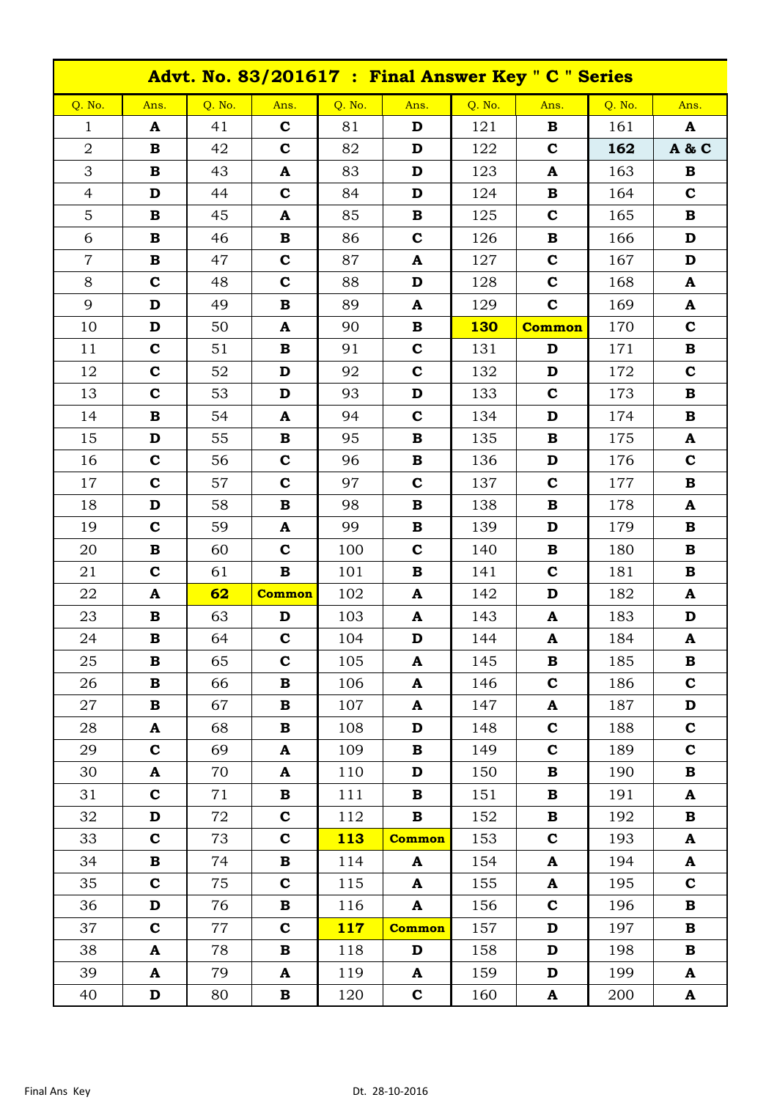| Advt. No. 83/201617 : Final Answer Key " C " Series |              |        |               |            |               |            |               |        |              |
|-----------------------------------------------------|--------------|--------|---------------|------------|---------------|------------|---------------|--------|--------------|
| Q. No.                                              | Ans.         | Q. No. | Ans.          | Q. No.     | Ans.          | Q. No.     | Ans.          | Q. No. | Ans.         |
| 1                                                   | $\mathbf{A}$ | 41     | $\mathbf C$   | 81         | D             | 121        | $\bf{B}$      | 161    | A            |
| $\overline{2}$                                      | $\mathbf B$  | 42     | $\mathbf C$   | 82         | D             | 122        | $\mathbf C$   | 162    | A & C        |
| 3                                                   | $\bf{B}$     | 43     | $\mathbf{A}$  | 83         | D             | 123        | ${\bf A}$     | 163    | B            |
| 4                                                   | D            | 44     | $\mathbf C$   | 84         | D             | 124        | $\bf{B}$      | 164    | $\mathbf C$  |
| 5                                                   | $\bf{B}$     | 45     | A             | 85         | $\bf{B}$      | 125        | $\mathbf C$   | 165    | $\bf{B}$     |
| 6                                                   | $\bf{B}$     | 46     | $\bf{B}$      | 86         | $\mathbf C$   | 126        | $\bf{B}$      | 166    | D            |
| $\overline{7}$                                      | $\bf{B}$     | 47     | $\mathbf C$   | 87         | $\mathbf{A}$  | 127        | $\mathbf C$   | 167    | D            |
| 8                                                   | $\mathbf C$  | 48     | $\mathbf C$   | 88         | D             | 128        | $\mathbf C$   | 168    | $\mathbf{A}$ |
| 9                                                   | D            | 49     | $\mathbf B$   | 89         | $\mathbf{A}$  | 129        | $\mathbf C$   | 169    | $\mathbf{A}$ |
| 10                                                  | D            | 50     | $\mathbf{A}$  | 90         | $\bf{B}$      | <b>130</b> | <b>Common</b> | 170    | $\mathbf C$  |
| 11                                                  | $\mathbf C$  | 51     | $\bf{B}$      | 91         | $\mathbf C$   | 131        | D             | 171    | $\bf{B}$     |
| 12                                                  | $\mathbf C$  | 52     | D             | 92         | $\mathbf C$   | 132        | D             | 172    | $\mathbf C$  |
| 13                                                  | $\mathbf C$  | 53     | D             | 93         | D             | 133        | $\mathbf C$   | 173    | B            |
| 14                                                  | $\bf{B}$     | 54     | ${\bf A}$     | 94         | $\mathbf C$   | 134        | D             | 174    | $\bf{B}$     |
| 15                                                  | D            | 55     | $\bf{B}$      | 95         | $\bf{B}$      | 135        | $\bf{B}$      | 175    | A            |
| 16                                                  | $\mathbf C$  | 56     | $\mathbf C$   | 96         | $\bf{B}$      | 136        | D             | 176    | $\mathbf C$  |
| 17                                                  | $\mathbf C$  | 57     | $\mathbf C$   | 97         | $\mathbf C$   | 137        | $\mathbf C$   | 177    | $\bf{B}$     |
| 18                                                  | D            | 58     | $\bf{B}$      | 98         | $\bf{B}$      | 138        | $\bf{B}$      | 178    | A            |
| 19                                                  | $\mathbf C$  | 59     | ${\bf A}$     | 99         | $\bf{B}$      | 139        | D             | 179    | B            |
| 20                                                  | $\bf{B}$     | 60     | $\mathbf C$   | 100        | $\mathbf C$   | 140        | $\bf{B}$      | 180    | $\bf{B}$     |
| 21                                                  | $\mathbf C$  | 61     | $\mathbf{B}$  | 101        | $\bf{B}$      | 141        | $\mathbf C$   | 181    | $\bf{B}$     |
| 22                                                  | ${\bf A}$    | 62     | <b>Common</b> | 102        | ${\bf A}$     | 142        | D             | 182    | ${\bf A}$    |
| 23                                                  | $\bf{B}$     | 63     | D             | 103        | A             | 143        | ${\bf A}$     | 183    | D            |
| 24                                                  | $\bf{B}$     | 64     | $\mathbf C$   | 104        | D             | 144        | $\mathbf{A}$  | 184    | $\mathbf{A}$ |
| 25                                                  | $\bf{B}$     | 65     | $\mathbf C$   | 105        | ${\bf A}$     | 145        | $\mathbf B$   | 185    | $\bf{B}$     |
| 26                                                  | $\bf{B}$     | 66     | $\bf{B}$      | 106        | $\mathbf{A}$  | 146        | $\mathbf C$   | 186    | $\mathbf C$  |
| 27                                                  | $\bf{B}$     | 67     | $\bf{B}$      | 107        | A             | 147        | $\mathbf{A}$  | 187    | D            |
| 28                                                  | $\mathbf{A}$ | 68     | $\bf{B}$      | 108        | D             | 148        | $\mathbf C$   | 188    | $\mathbf C$  |
| 29                                                  | $\mathbf C$  | 69     | ${\bf A}$     | 109        | $\bf{B}$      | 149        | $\mathbf C$   | 189    | $\mathbf C$  |
| 30                                                  | ${\bf A}$    | 70     | A             | 110        | D             | 150        | $\mathbf B$   | 190    | $\bf{B}$     |
| 31                                                  | $\mathbf C$  | 71     | $\bf{B}$      | 111        | $\bf{B}$      | 151        | $\bf{B}$      | 191    | ${\bf A}$    |
| 32                                                  | D            | 72     | $\mathbf C$   | 112        | $\bf{B}$      | 152        | $\bf{B}$      | 192    | $\bf{B}$     |
| 33                                                  | $\mathbf C$  | 73     | $\mathbf C$   | <b>113</b> | <b>Common</b> | 153        | $\mathbf C$   | 193    | $\mathbf{A}$ |
| 34                                                  | $\mathbf{B}$ | 74     | $\bf{B}$      | 114        | A             | 154        | $\mathbf{A}$  | 194    | A            |
| 35                                                  | $\mathbf C$  | 75     | $\mathbf C$   | 115        | ${\bf A}$     | 155        | $\mathbf{A}$  | 195    | $\mathbf C$  |
| 36                                                  | D            | 76     | $\bf{B}$      | 116        | ${\bf A}$     | 156        | $\mathbf C$   | 196    | $\bf{B}$     |
| 37                                                  | $\mathbf C$  | 77     | $\mathbf C$   | <b>117</b> | <b>Common</b> | 157        | D             | 197    | $\bf{B}$     |
| 38                                                  | A            | 78     | $\mathbf{B}$  | 118        | D             | 158        | D             | 198    | $\bf{B}$     |
| 39                                                  | ${\bf A}$    | 79     | ${\bf A}$     | 119        | A             | 159        | D             | 199    | A            |
| 40                                                  | D            | 80     | $\bf{B}$      | 120        | $\mathbf C$   | 160        | ${\bf A}$     | 200    | ${\bf A}$    |